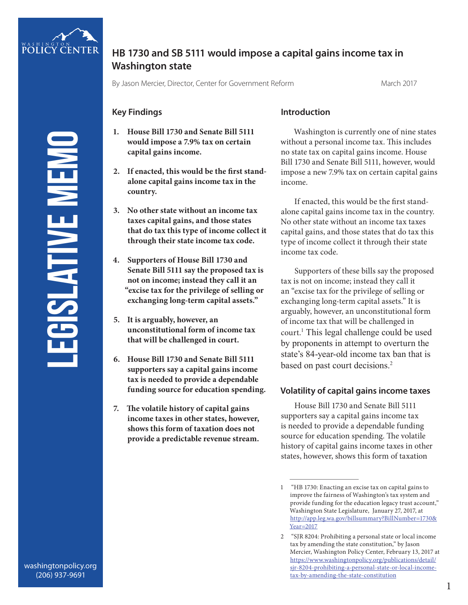

# **HB 1730 and SB 5111 would impose a capital gains income tax in Washington state**

By Jason Mercier, Director, Center for Government Reform March 2017

## **Key Findings**

- **1. House Bill 1730 and Senate Bill 5111 would impose a 7.9% tax on certain capital gains income.**
- **2. If enacted, this would be the first standalone capital gains income tax in the country.**
- **3. No other state without an income tax taxes capital gains, and those states that do tax this type of income collect it through their state income tax code.**
- **4. Supporters of House Bill 1730 and Senate Bill 5111 say the proposed tax is not on income; instead they call it an "excise tax for the privilege of selling or exchanging long-term capital assets."**
- **5. It is arguably, however, an unconstitutional form of income tax that will be challenged in court.**
- **6. House Bill 1730 and Senate Bill 5111 supporters say a capital gains income tax is needed to provide a dependable funding source for education spending.**
- **7. The volatile history of capital gains income taxes in other states, however, shows this form of taxation does not provide a predictable revenue stream.**

#### **Introduction**

Washington is currently one of nine states without a personal income tax. This includes no state tax on capital gains income. House Bill 1730 and Senate Bill 5111, however, would impose a new 7.9% tax on certain capital gains income.

If enacted, this would be the first standalone capital gains income tax in the country. No other state without an income tax taxes capital gains, and those states that do tax this type of income collect it through their state income tax code.

Supporters of these bills say the proposed tax is not on income; instead they call it an "excise tax for the privilege of selling or exchanging long-term capital assets." It is arguably, however, an unconstitutional form of income tax that will be challenged in court.<sup>1</sup> This legal challenge could be used by proponents in attempt to overturn the state's 84-year-old income tax ban that is based on past court decisions.<sup>2</sup>

## **Volatility of capital gains income taxes**

House Bill 1730 and Senate Bill 5111 supporters say a capital gains income tax is needed to provide a dependable funding source for education spending. The volatile history of capital gains income taxes in other states, however, shows this form of taxation

<sup>1 &</sup>quot;HB 1730: Enacting an excise tax on capital gains to improve the fairness of Washington's tax system and provide funding for the education legacy trust account," Washington State Legislature, January 27, 2017, at http://app.leg.wa.gov/billsummary?BillNumber=1730& Year=2017

<sup>2 &</sup>quot;SJR 8204: Prohibiting a personal state or local income tax by amending the state constitution," by Jason Mercier, Washington Policy Center, February 13, 2017 at https://www.washingtonpolicy.org/publications/detail/ sjr-8204-prohibiting-a-personal-state-or-local-incometax-by-amending-the-state-constitution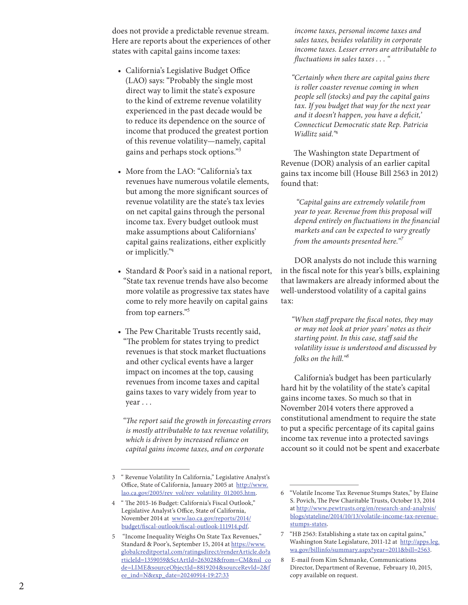does not provide a predictable revenue stream. Here are reports about the experiences of other states with capital gains income taxes:

- • California's Legislative Budget Office (LAO) says: "Probably the single most direct way to limit the state's exposure to the kind of extreme revenue volatility experienced in the past decade would be to reduce its dependence on the source of income that produced the greatest portion of this revenue volatility—namely, capital gains and perhaps stock options." 3
- More from the LAO: "California's tax revenues have numerous volatile elements, but among the more significant sources of revenue volatility are the state's tax levies on net capital gains through the personal income tax. Every budget outlook must make assumptions about Californians' capital gains realizations, either explicitly or implicitly."4
- Standard & Poor's said in a national report, "State tax revenue trends have also become more volatile as progressive tax states have come to rely more heavily on capital gains from top earners."<sup>5</sup>
- The Pew Charitable Trusts recently said, "The problem for states trying to predict revenues is that stock market fluctuations and other cyclical events have a larger impact on incomes at the top, causing revenues from income taxes and capital gains taxes to vary widely from year to year . . .

*"The report said the growth in forecasting errors is mostly attributable to tax revenue volatility, which is driven by increased reliance on capital gains income taxes, and on corporate* 

*income taxes, personal income taxes and sales taxes, besides volatility in corporate income taxes. Lesser errors are attributable to fluctuations in sales taxes . . . "*

*"Certainly when there are capital gains there is roller coaster revenue coming in when people sell (stocks) and pay the capital gains tax. If you budget that way for the next year and it doesn't happen, you have a deficit,' Connecticut Democratic state Rep. Patricia Widlitz said."6*

The Washington state Department of Revenue (DOR) analysis of an earlier capital gains tax income bill (House Bill 2563 in 2012) found that:

 *"Capital gains are extremely volatile from year to year. Revenue from this proposal will depend entirely on fluctuations in the financial markets and can be expected to vary greatly from the amounts presented here." 7*

DOR analysts do not include this warning in the fiscal note for this year's bills, explaining that lawmakers are already informed about the well-understood volatility of a capital gains tax:

*"When staff prepare the fiscal notes, they may or may not look at prior years' notes as their starting point. In this case, staff said the volatility issue is understood and discussed by folks on the hill."<sup>8</sup>*

California's budget has been particularly hard hit by the volatility of the state's capital gains income taxes. So much so that in November 2014 voters there approved a constitutional amendment to require the state to put a specific percentage of its capital gains income tax revenue into a protected savings account so it could not be spent and exacerbate<br>  $\frac{1}{6}$   $\frac{1}{6}$   $\frac{1}{6}$   $\frac{1}{6}$   $\frac{1}{6}$   $\frac{1}{6}$   $\frac{1}{6}$   $\frac{1}{6}$   $\frac{1}{6}$   $\frac{1}{6}$   $\frac{1}{6}$   $\frac{1}{6}$   $\frac{1}{6}$   $\frac{1}{6}$   $\frac{1}{6}$   $\frac{1}{6}$   $\frac{1}{6}$   $\frac$ 

<sup>3</sup> " Revenue Volatility In California," Legislative Analyst's Office, State of California, January 2005 at http://www. lao.ca.gov/2005/rev\_vol/rev\_volatility\_012005.htm.

<sup>4</sup> " The 2015-16 Budget: California's Fiscal Outlook," Legislative Analyst's Office, State of California, November 2014 at www.lao.ca.gov/reports/2014/ budget/fiscal-outlook/fiscal-outlook-111914.pdf.

<sup>5 &</sup>quot;Income Inequality Weighs On State Tax Revenues," Standard & Poor's, September 15, 2014 at https://www. globalcreditportal.com/ratingsdirect/renderArticle.do?a rticleId=1359059&SctArtId=263028&from=CM&nsl\_co de=LIME&sourceObjectId=8819204&sourceRevId=2&f ee\_ind=N&exp\_date=20240914-19:27:33

S. Povich, The Pew Charitable Trusts, October 13, 2014 at http://www.pewtrusts.org/en/research-and-analysis/ blogs/stateline/2014/10/13/volatile-income-tax-revenuestumps-states.

<sup>7</sup> "HB 2563: Establishing a state tax on capital gains," Washington State Legislature, 2011-12 at http://apps.leg. wa.gov/billinfo/summary.aspx?year=2011&bill=2563.

<sup>8</sup> E-mail from Kim Schmanke, Communications Director, Department of Revenue, February 10, 2015, copy available on request.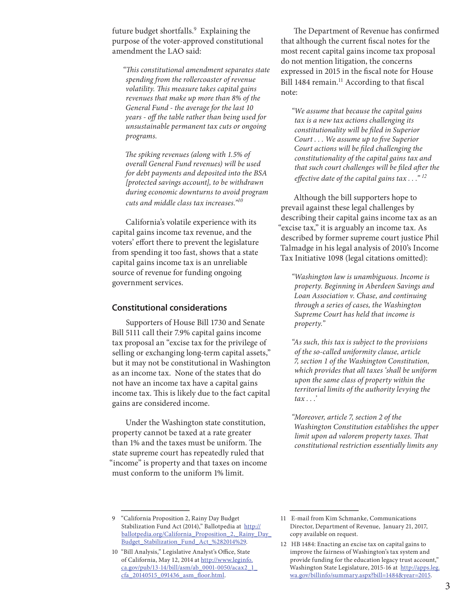future budget shortfalls.<sup>9</sup> Explaining the purpose of the voter-approved constitutional amendment the LAO said:

*"This constitutional amendment separates state spending from the rollercoaster of revenue volatility. This measure takes capital gains revenues that make up more than 8% of the General Fund - the average for the last 10 years - off the table rather than being used for unsustainable permanent tax cuts or ongoing programs.* 

*The spiking revenues (along with 1.5% of overall General Fund revenues) will be used for debt payments and deposited into the BSA [protected savings account], to be withdrawn during economic downturns to avoid program cuts and middle class tax increases."<sup>10</sup>*

California's volatile experience with its capital gains income tax revenue, and the voters' effort there to prevent the legislature from spending it too fast, shows that a state capital gains income tax is an unreliable source of revenue for funding ongoing government services.

#### **Constitutional considerations**

Supporters of House Bill 1730 and Senate Bill 5111 call their 7.9% capital gains income tax proposal an "excise tax for the privilege of selling or exchanging long-term capital assets," but it may not be constitutional in Washington as an income tax. None of the states that do not have an income tax have a capital gains income tax. This is likely due to the fact capital gains are considered income.

Under the Washington state constitution, property cannot be taxed at a rate greater than 1% and the taxes must be uniform. The state supreme court has repeatedly ruled that "income" is property and that taxes on income must conform to the uniform 1% limit.

The Department of Revenue has confirmed that although the current fiscal notes for the most recent capital gains income tax proposal do not mention litigation, the concerns expressed in 2015 in the fiscal note for House Bill 1484 remain.<sup>11</sup> According to that fiscal note:

*"We assume that because the capital gains tax is a new tax actions challenging its constitutionality will be filed in Superior Court . . . We assume up to five Superior Court actions will be filed challenging the constitutionality of the capital gains tax and that such court challenges will be filed after the effective date of the capital gains tax . . ." <sup>12</sup>*

Although the bill supporters hope to prevail against these legal challenges by describing their capital gains income tax as an "excise tax," it is arguably an income tax. As described by former supreme court justice Phil Talmadge in his legal analysis of 2010's Income Tax Initiative 1098 (legal citations omitted):

*"Washington law is unambiguous. Income is property. Beginning in Aberdeen Savings and Loan Association v. Chase, and continuing through a series of cases, the Washington Supreme Court has held that income is property."*

*"As such, this tax is subject to the provisions of the so-called uniformity clause, article 7, section 1 of the Washington Constitution, which provides that all taxes 'shall be uniform upon the same class of property within the territorial limits of the authority levying the tax . . .'*

*"Moreover, article 7, section 2 of the Washington Constitution establishes the upper limit upon ad valorem property taxes. That constitutional restriction essentially limits any* 

<sup>9</sup> "California Proposition 2, Rainy Day Budget Stabilization Fund Act (2014)," Ballotpedia at http:// ballotpedia.org/California\_Proposition\_2,\_Rainy\_Day\_ Budget\_Stabilization\_Fund\_Act\_%282014%29.

<sup>10</sup> "Bill Analysis," Legislative Analyst's Office, State of California, May 12, 2014 at http://www.leginfo. ca.gov/pub/13-14/bill/asm/ab\_0001-0050/acax2\_1\_ cfa\_20140515\_091436\_asm\_floor.html.

<sup>11</sup> E-mail from Kim Schmanke, Communications Director, Department of Revenue, January 21, 2017, copy available on request.

<sup>12</sup> HB 1484: Enacting an excise tax on capital gains to improve the fairness of Washington's tax system and provide funding for the education legacy trust account," Washington State Legislature, 2015-16 at http://apps.leg. wa.gov/billinfo/summary.aspx?bill=1484&year=2015.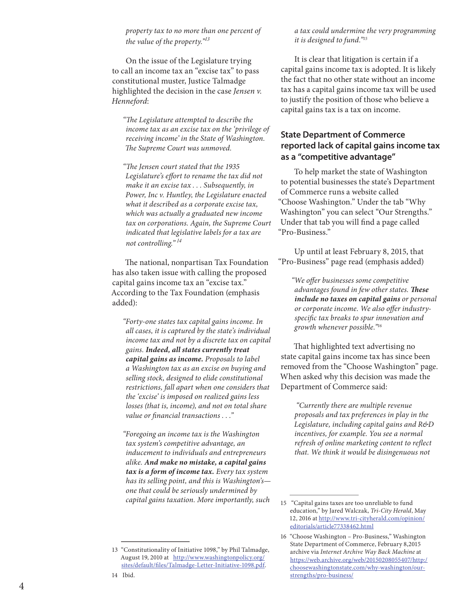*property tax to no more than one percent of the value of the property."<sup>13</sup>*

On the issue of the Legislature trying to call an income tax an "excise tax" to pass constitutional muster, Justice Talmadge highlighted the decision in the case *Jensen v. Henneford*:

*"The Legislature attempted to describe the income tax as an excise tax on the 'privilege of receiving income' in the State of Washington. The Supreme Court was unmoved.*

*"The Jensen court stated that the 1935 Legislature's effort to rename the tax did not make it an excise tax . . . Subsequently, in Power, Inc v. Huntley, the Legislature enacted what it described as a corporate excise tax, which was actually a graduated new income tax on corporations. Again, the Supreme Court indicated that legislative labels for a tax are not controlling."<sup>14</sup>*

The national, nonpartisan Tax Foundation has also taken issue with calling the proposed capital gains income tax an "excise tax." According to the Tax Foundation (emphasis added):

*"Forty-one states tax capital gains income. In all cases, it is captured by the state's individual income tax and not by a discrete tax on capital gains. Indeed, all states currently treat capital gains as income. Proposals to label a Washington tax as an excise on buying and selling stock, designed to elide constitutional restrictions, fall apart when one considers that the 'excise' is imposed on realized gains less losses (that is, income), and not on total share value or financial transactions . . ."*

*"Foregoing an income tax is the Washington tax system's competitive advantage, an inducement to individuals and entrepreneurs alike. And make no mistake, a capital gains tax is a form of income tax. Every tax system has its selling point, and this is Washington's one that could be seriously undermined by capital gains taxation. More importantly, such* 

It is clear that litigation is certain if a capital gains income tax is adopted. It is likely the fact that no other state without an income tax has a capital gains income tax will be used to justify the position of those who believe a capital gains tax is a tax on income.

#### **State Department of Commerce reported lack of capital gains income tax as a "competitive advantage"**

To help market the state of Washington to potential businesses the state's Department of Commerce runs a website called "Choose Washington." Under the tab "Why Washington" you can select "Our Strengths." Under that tab you will find a page called "Pro-Business."

Up until at least February 8, 2015, that "Pro-Business" page read (emphasis added)

*"We offer businesses some competitive advantages found in few other states. These include no taxes on capital gains or personal or corporate income. We also offer industryspecific tax breaks to spur innovation and growth whenever possible."16*

That highlighted text advertising no state capital gains income tax has since been removed from the "Choose Washington" page. When asked why this decision was made the Department of Commerce said:

 *"Currently there are multiple revenue proposals and tax preferences in play in the Legislature, including capital gains and R&D incentives, for example. You see a normal refresh of online marketing content to reflect that. We think it would be disingenuous not* 

<sup>13</sup> "Constitutionality of Initiative 1098," by Phil Talmadge, August 19, 2010 at http://www.washingtonpolicy.org/ sites/default/files/Talmadge-Letter-Initiative-1098.pdf.

<sup>15 &</sup>quot;Capital gains taxes are too unreliable to fund education," by Jared Walczak, *Tri-City Herald*, May 12, 2016 at http://www.tri-cityherald.com/opinion/ editorials/article77338462.html

<sup>16</sup> "Choose Washington – Pro-Business," Washington State Department of Commerce, February 8,2015 archive via *Internet Archive Way Back Machine* at https://web.archive.org/web/20150208055407/http:/ choosewashingtonstate.com/why-washington/ourstrengths/pro-business/